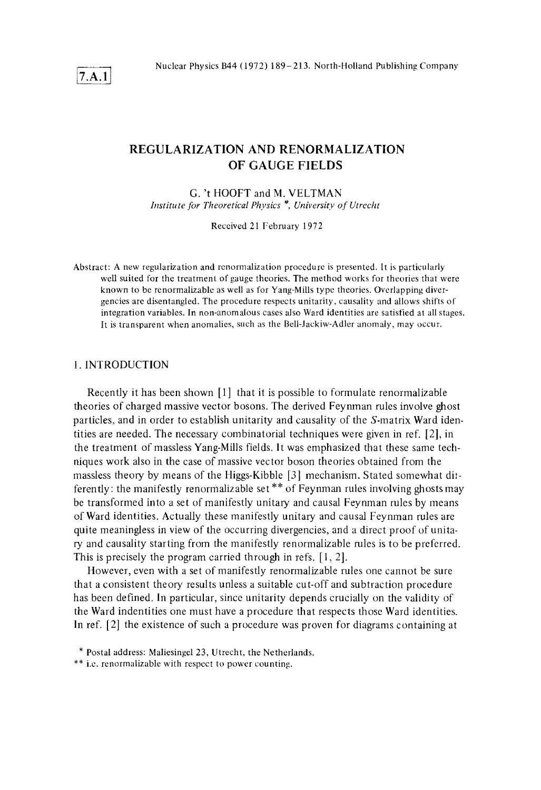# REGULARIZATION AND RENORMALIZATION OF GAUGE FIELDS

G. 't HOOFT and M. VELTMAN *Institute for Theoretical Physics \*, University of Utrecht* 

Received 21 February 1972

Abstract: A new regularization and renormalization procedure is presented. It is particularly well suited for the treatment of gauge theories. The method works for theories that were known to be renormalizable as well as for Yang-Mills type theories. Overlapping divergencies are disentangled. The procedure respects unitarity, causality and allows shifts of integration variables. In non-anomalous cases also Ward identities are satisfied at all stages. It is transparent when anomalies, such as the Bell-Jackiw-Adler anomaly, may occur.

# 1. INTRODUCTION

Recently it has been shown [1] that it is possible to formulate renormalizable theories of charged massive vector bosons. The derived Feynman rules involve ghost particles, and in order to establish unitarity and causality of the S-matrix Ward identities are needed. The necessary combinatorial techniques were given in ref. [2], in the treatment of massless Yang-Mills fields. It was emphasized that these same techniques work also in the case of massive vector boson theories obtained from the massless theory by means of the Higgs-Kibble [3] mechanism. Stated somewhat di:ferently: the manifestly renormalizable set \*\* of Feynman rules involving ghosts may be transformed into a set of manifestly unitary and causal Feynman rules by means of Ward identities. Actually these manifestly unitary and causal Feynman rules are quite meaningless in view of the occurring divergencies, and a direct proof of unitary and causality starting from the manifestly renormalizable rules is to be preferred. This is precisely the program carried through in refs. [1, 2].

However, even with a set of manifestly renormalizable rules one cannot be sure that a consistent theory results unless a suitable cut-off and subtraction procedure has been defined. In particular, since unitarity depends crucially on the validity of the Ward indentities one must have a procedure that respects those Ward identities. In ref. [2] the existence of such a procedure was proven for diagrams containing at

<sup>\*</sup> Postal address: Maliesingel 23, Utrecht, the Netherlands.

<sup>\*\*</sup> i.e. renormalizable with respect to power counting.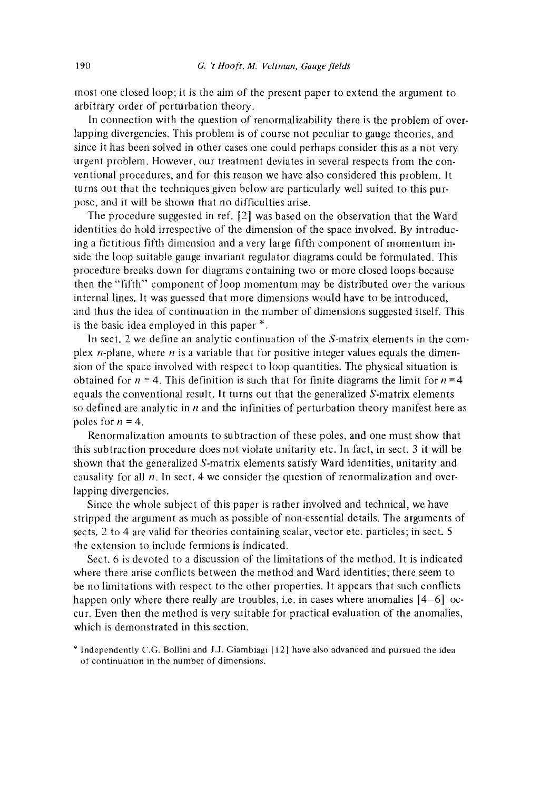most one closed loop; it is the aim of the present paper to extend the argument to arbitrary order of perturbation theory.

In connection with the question of renormalizability there is the problem of overlapping divergencies. This problem is of course not peculiar to gauge theories, and since it has been solved in other cases one could perhaps consider this as a not very urgent problem. However, our treatment deviates in several respects from the conventional procedures, and for this reason we have also considered this problem. It turns out that the techniques given below are particularly well suited to this purpose, and it will be shown that no difficulties arise.

The procedure suggested in ref.  $[2]$  was based on the observation that the Ward identities do hold irrespective of the dimension of the space involved. By introducing a fictitious fifth dimension and a very large fifth component of momentum inside the loop suitable gauge invariant regulator diagrams could be formulated. This procedure breaks down for diagrams containing two or more closed loops because then the "fifth" component of loop momentum may be distributed over the various internal lines. It was guessed that more dimensions would have to be introduced, and thus the idea of continuation in the number of dimensions suggested itself. This is the basic idea employed in this paper \*.

In sect. 2 we define an analytic continuation of the  $S$ -matrix elements in the complex *n*-plane, where *n* is a variable that for positive integer values equals the dimension of the space involved with respect to loop quantities. The physical situation is obtained for  $n = 4$ . This definition is such that for finite diagrams the limit for  $n = 4$ equals the conventional result. It turns out that the generalized S-matrix elements so defined are analytic in  $n$  and the infinities of perturbation theory manifest here as poles for  $n = 4$ .

Renormalization amounts to subtraction of these poles, and one must show that this subtraction procedure does not violate unitarity etc. In fact, in sect. 3 it will be shown that the generalized S-matrix elements satisfy Ward identities, unitarity and causality for all  $n$ . In sect. 4 we consider the question of renormalization and overlapping divergencies.

Since the whole subject of this paper is rather involved and technical, we have stripped the argument as much as possible of non-essential details. The arguments of sects. 2 to 4 are valid for theories containing scalar, vector etc. particles; in sect. 5 the extension to include fermions is indicated.

Sect. 6 is devoted to a discussion of the limitations of the method. It is indicated where there arise conflicts between the method and Ward identities; there seem to be no limitations with respect to the other properties. It appears that such conflicts happen only where there really are troubles, i.e. in cases where anomalies  $[4-6]$  occur. Even then the method is very suitable for practical evaluation of the anomalies, which is demonstrated in this section.

<sup>\*</sup> Independently C.G. Bollini and J.J. Giambiagi [12] have also advanced and pursued the idea of continuation in the number of dimensions.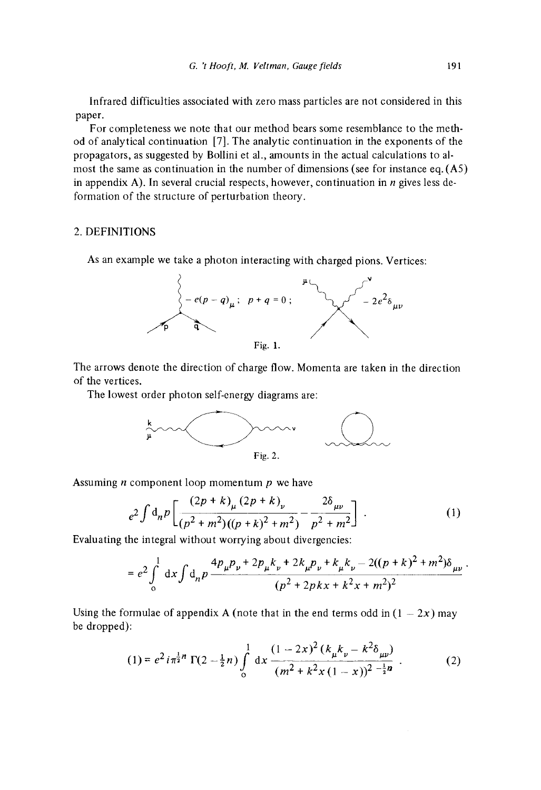Infrared difficulties associated with zero mass particles are not considered in this paper.

For completeness we note that our method bears some resemblance to the method of analytical continuation [7]. The analytic continuation in the exponents of the propagators, as suggested by Bollini et al., amounts in the actual calculations to almost the same as continuation in the number of dimensions (see for instance eq. (A5) in appendix A). In several crucial respects, however, continuation in  $n$  gives less deformation of the structure of perturbation theory.

# 2. DEFINITIONS

As an example we take a photon interacting with charged pions. Vertices:



The arrows denote the direction of charge flow. Momenta are taken in the direction of the vertices.

The lowest order photon self-energy diagrams are:



Assuming *n* component loop momentum  $p$  we have

$$
e^{2} \int d_{n}p \left[ \frac{(2p+k)_{\mu} (2p+k)_{\nu}}{(p^{2}+m^{2})(p+k)^{2}+m^{2})} - \frac{2\delta_{\mu\nu}}{p^{2}+m^{2}} \right].
$$
 (1)

Evaluating the integral without worrying about divergencies:

$$
= e^2 \int_0^1 dx \int d_n p \frac{4p_\mu p_\nu + 2p_\mu k_\nu + 2k_\mu p_\nu + k_\mu k_\nu - 2((p+k)^2 + m^2)\delta_{\mu\nu}}{(p^2 + 2p k x + k^2 x + m^2)^2}.
$$

Using the formulae of appendix A (note that in the end terms odd in  $(1 - 2x)$  may be dropped):

$$
(1) = e^2 i \pi^{\frac{1}{2}n} \Gamma(2 - \frac{1}{2}n) \int_0^1 dx \frac{(1 - 2x)^2 (k_\mu k_\nu - k^2 \delta_{\mu\nu})}{(m^2 + k^2 x (1 - x))^2 - \frac{1}{2} n} \ . \tag{2}
$$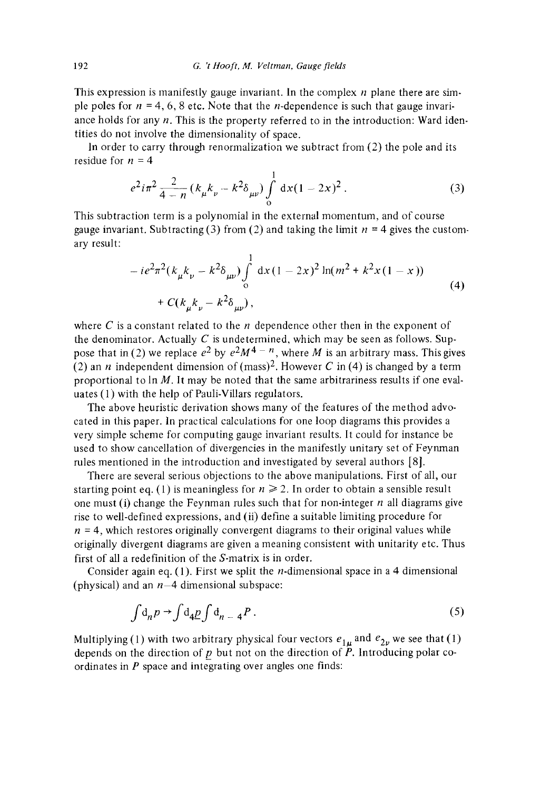This expression is manifestly gauge invariant. In the complex  $n$  plane there are simple poles for  $n = 4, 6, 8$  etc. Note that the *n*-dependence is such that gauge invariance holds for any  $n$ . This is the property referred to in the introduction: Ward identities do not involve the dimensionality of space.

In order to carry through renormalization we subtract from (2) the pole and its residue for  $n = 4$ 

$$
e^{2}i\pi^{2}\frac{2}{4-n}(k_{\mu}k_{\nu}-k^{2}\delta_{\mu\nu})\int_{0}^{1}dx(1-2x)^{2}.
$$
 (3)

This subtraction term is a polynomial in the external momentum, and of course gauge invariant. Subtracting (3) from (2) and taking the limit  $n = 4$  gives the customary result:

$$
-ie^{2}\pi^{2}(k_{\mu}k_{\nu}-k^{2}\delta_{\mu\nu})\int_{0}^{1}dx(1-2x)^{2}\ln(m^{2}+k^{2}x(1-x))
$$
  
+ $C(k_{\mu}k_{\nu}-k^{2}\delta_{\mu\nu}),$  (4)

where C is a constant related to the *n* dependence other then in the exponent of the denominator. Actually  $C$  is undetermined, which may be seen as follows. Suppose that in (2) we replace  $e^2$  by  $e^2M^4$ <sup>-n</sup>, where M is an arbitrary mass. This gives (2) an *n* independent dimension of (mass)<sup>2</sup>. However C in (4) is changed by a term proportional to  $\ln M$ . It may be noted that the same arbitrariness results if one evaluates (1) with the help of Pauli-Villars regulators.

The above heuristic derivation shows many of the features of the method advocated in this paper. In practical calculations for one loop diagrams this provides a very simple scheme for computing gauge invariant results. It could for instance be used to show cancellation of divergencies in the manifestly unitary set of Feynman rules mentioned in the introduction and investigated by several authors [8].

There are several serious objections to the above manipulations. First of all, our starting point eq. (1) is meaningless for  $n \ge 2$ . In order to obtain a sensible result one must (i) change the Feynman rules such that for non-integer  $n$  all diagrams give rise to well-defined expressions, and (ii) define a suitable limiting procedure for  $n = 4$ , which restores originally convergent diagrams to their original values while originally divergent diagrams are given a meaning consistent with unitarity etc. Thus first of all a redefinition of the S-matrix is in order.

Consider again eq.  $(1)$ . First we split the *n*-dimensional space in a 4 dimensional (physical) and an  $n-4$  dimensional subspace:

$$
\int d_n p \to \int d_4 p \int d_{n-4} P \,. \tag{5}
$$

Multiplying (1) with two arbitrary physical four vectors  $e_{1\mu}$  and  $e_{2\nu}$  we see that (1) depends on the direction of  $p$  but not on the direction of  $P$ . Introducing polar coordinates in  $P$  space and integrating over angles one finds: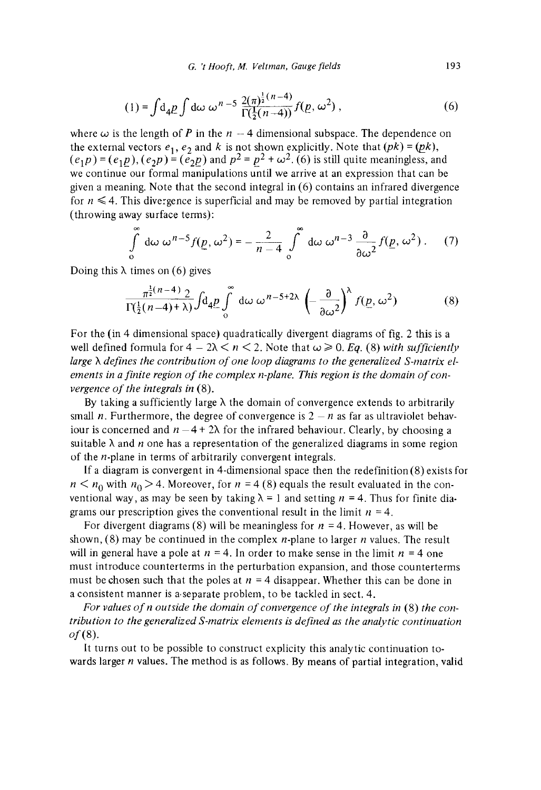*G. 't Hooft, M. Veltman, Gauge fields* 193

$$
(1) = \int d_4 p \int d\omega \, \omega^{n-5} \, \frac{2(\pi)^{\frac{1}{2}(n-4)}}{\Gamma(\frac{1}{2}(n-4))} f(p, \omega^2) \,, \tag{6}
$$

where  $\omega$  is the length of P in the  $n - 4$  dimensional subspace. The dependence on the external vectors  $e_1$ ,  $e_2$  and k is not shown explicitly. Note that  $(pk) = (pk)$ ,  $(e_1p) = (e_1p), (e_2p) = (e_2p)$  and  $p^2 = p^2 + \omega^2$ . (6) is still quite meaningless, and we continue our formal manipulations until we arrive at an expression that can be given a meaning. Note that the second integral in (6) contains an infrared divergence for  $n \leq 4$ . This divergence is superficial and may be removed by partial integration (throwing away surface terms):

$$
\int_{0}^{\infty} d\omega \, \omega^{n-5} f(p, \omega^2) = -\frac{2}{n-4} \int_{0}^{\infty} d\omega \, \omega^{n-3} \, \frac{\partial}{\partial \omega^2} f(p, \omega^2) \,. \tag{7}
$$

Doing this  $\lambda$  times on (6) gives

$$
\frac{\pi^{\frac{1}{2}(n-4)} 2}{\Gamma(\frac{1}{2}(n-4)+\lambda)} \int d_4 \underline{p} \int_0^\infty d\omega \, \omega^{n-5+2\lambda} \left(-\frac{\partial}{\partial \omega^2}\right)^{\lambda} f(\underline{p}, \omega^2) \tag{8}
$$

For the (in 4 dimensional space) quadratically divergent diagrams of fig. 2 this is a well defined formula for  $4 - 2\lambda < n < 2$ . Note that  $\omega \ge 0$ . *Eq.* (8) with sufficiently *large X defines the contribution of one loop diagrams to the generalized S-matrix elements in a finite region of the complex n-plane. This region is the domain of convergence of the integrals in* (8).

By taking a sufficiently large  $\lambda$  the domain of convergence extends to arbitrarily small n. Furthermore, the degree of convergence is  $2 - n$  as far as ultraviolet behaviour is concerned and  $n - 4 + 2\lambda$  for the infrared behaviour. Clearly, by choosing a suitable  $\lambda$  and *n* one has a representation of the generalized diagrams in some region of the n-plane in terms of arbitrarily convergent integrals.

If a diagram is convergent in 4-dimensional space then the redefinition  $(8)$  exists for  $n \le n_0$  with  $n_0 > 4$ . Moreover, for  $n = 4$  (8) equals the result evaluated in the conventional way, as may be seen by taking  $\lambda = 1$  and setting  $n = 4$ . Thus for finite diagrams our prescription gives the conventional result in the limit  $n = 4$ .

For divergent diagrams (8) will be meaningless for  $n = 4$ . However, as will be shown,  $(8)$  may be continued in the complex *n*-plane to larger *n* values. The result will in general have a pole at  $n = 4$ . In order to make sense in the limit  $n = 4$  one must introduce counterterms in the perturbation expansion, and those counterterms must be chosen such that the poles at  $n = 4$  disappear. Whether this can be done in a consistent manner is a.separate problem, to be tackled in sect. 4.

For values of *n* outside the domain of convergence of the integrals in (8) the con*tribution to the generalized S-matrix elements is defined as the analytic continuation*   $of(8)$ .

It turns out to be possible to construct explicity this analytic continuation towards larger *n* values. The method is as follows. By means of partial integration, valid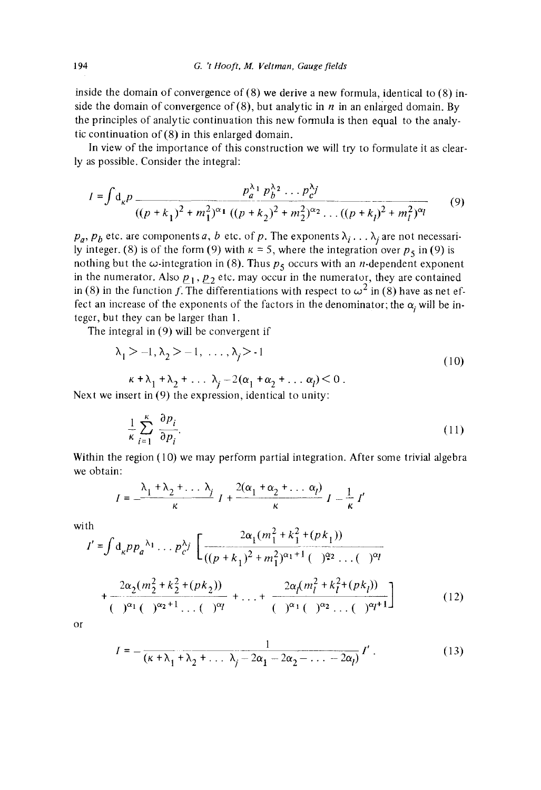inside the domain of convergence of  $(8)$  we derive a new formula, identical to  $(8)$  inside the domain of convergence of  $(8)$ , but analytic in *n* in an enlarged domain. By the principles of analytic continuation this new formula is then equal to the analytic continuation of (8) in this enlarged domain.

In view of the importance of this construction we will try to formulate it as clearly as possible. Consider the integral:

$$
I = \int d_{\kappa} p \frac{p_a^{\lambda_1} p_b^{\lambda_2} \dots p_c^{\lambda_j}}{((p + k_1)^2 + m_1^2)^{\alpha_1} ((p + k_2)^2 + m_2^2)^{\alpha_2} \dots ((p + k_j)^2 + m_j^2)^{\alpha_j}}
$$
(9)

 $p_a$ ,  $p_b$  etc. are components a, b etc. of p. The exponents  $\lambda_i$ ...  $\lambda_j$  are not necessarily integer. (8) is of the form (9) with  $\kappa = 5$ , where the integration over  $p_5$  in (9) is nothing but the  $\omega$ -integration in (8). Thus  $p_5$  occurs with an *n*-dependent exponent in the numerator. Also  $p_1, p_2$  etc. may occur in the numerator, they are contained in (8) in the function f. The differentiations with respect to  $\omega^2$  in (8) have as net effect an increase of the exponents of the factors in the denominator; the  $\alpha$ , will be integer, but they can be larger than 1.

The integral in (9) will be convergent if

$$
\lambda_1 > -1, \lambda_2 > -1, \dots, \lambda_j > -1
$$
  
\n
$$
\kappa + \lambda_1 + \lambda_2 + \dots \lambda_j - 2(\alpha_1 + \alpha_2 + \dots + \alpha_l) < 0.
$$
 (10)

Next we insert in (9) the expression, identical to unity:

$$
\frac{1}{\kappa} \sum_{i=1}^{\kappa} \frac{\partial p_i}{\partial p_i}.
$$
\n(11)

Within the region  $(10)$  we may perform partial integration. After some trivial algebra we obtain:

$$
I = \frac{\lambda_1 + \lambda_2 + \dots + \lambda_j}{\kappa} I + \frac{2(\alpha_1 + \alpha_2 + \dots + \alpha_l)}{\kappa} I - \frac{1}{\kappa} I'
$$

with

$$
I' = \int d_{R} p p_{a}^{\lambda_{1}} \dots p_{c}^{\lambda_{j}} \left[ \frac{2\alpha_{1}(m_{1}^{2} + k_{1}^{2} + (p k_{1}))}{((p + k_{1})^{2} + m_{1}^{2})^{\alpha_{1} + 1} (\cdot)^{\alpha_{2}} \dots (\cdot)^{\alpha_{l}} + \frac{2\alpha_{2}(m_{2}^{2} + k_{2}^{2} + (p k_{2}))}{(\cdot)^{\alpha_{1}} (\cdot)^{\alpha_{2} + 1} \dots (\cdot)^{\alpha_{l}} + \dots + \frac{2\alpha_{l}(m_{l}^{2} + k_{l}^{2} + (p k_{l}))}{(\cdot)^{\alpha_{1}} (\cdot)^{\alpha_{2}} \dots (\cdot)^{\alpha_{l} + 1}} \right]
$$
(12)

or

$$
I = -\frac{1}{(\kappa + \lambda_1 + \lambda_2 + \dots \lambda_j - 2\alpha_1 - 2\alpha_2 - \dots - 2\alpha_l)} I'.
$$
 (13)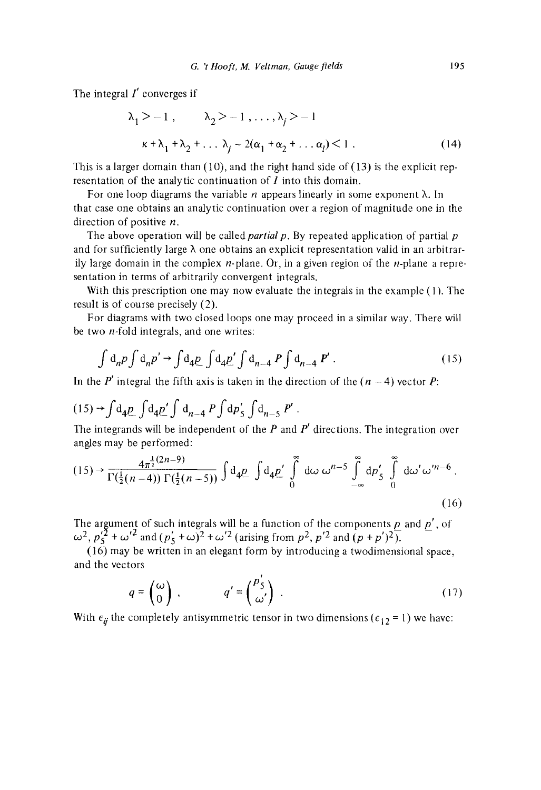The integral  $I'$  converges if

$$
\lambda_1 > -1, \qquad \lambda_2 > -1, \dots, \lambda_j > -1
$$
  

$$
\kappa + \lambda_1 + \lambda_2 + \dots + \lambda_j - 2(\alpha_1 + \alpha_2 + \dots + \alpha_l) < 1.
$$
 (14)

This is a larger domain than  $(10)$ , and the right hand side of  $(13)$  is the explicit representation of the analytic continuation of I into this domain.

For one loop diagrams the variable *n* appears linearly in some exponent  $\lambda$ . In that case one obtains an analytic continuation over a region of magnitude one in the direction of positive  $n$ .

The above operation will be called *partial p*. By repeated application of partial *p* and for sufficiently large  $\lambda$  one obtains an explicit representation valid in an arbitrarily large domain in the complex  $n$ -plane. Or, in a given region of the  $n$ -plane a representation in terms of arbitrarily convergent integrals.

With this prescription one may now evaluate the integrals in the example (1). The result is of course precisely (2).

For diagrams with two closed loops one may proceed in a similar way. There will be two  $n$ -fold integrals, and one writes:

$$
\int d_{n}p \int d_{n}p' \rightarrow \int d_{4}\underline{p} \int d_{4}\underline{p}' \int d_{n-4}P \int d_{n-4}P' . \qquad (15)
$$

In the P' integral the fifth axis is taken in the direction of the  $(n-4)$  vector P:

$$
(15) \rightarrow \int d_4 \underline{p} \int d_4 \underline{p}' \int d_{n-4} P \int d p'_5 \int d_{n-5} P'
$$

The integrands will be independent of the  $P$  and  $P'$  directions. The integration over angles may be performed:

$$
(15) \rightarrow \frac{4\pi^{\frac{1}{2}(2n-9)}}{\Gamma(\frac{1}{2}(n-4))\Gamma(\frac{1}{2}(n-5))} \int d_4 \underline{p} \int d_4 \underline{p}' \int_0^{\infty} d\omega \, \omega^{n-5} \int_{-\infty}^{\infty} d p'_5 \int_0^{\infty} d\omega' \omega^{n-6} .
$$
\n(16)

The argument of such integrals will be a function of the components  $p$  and  $p'$ , of  $\omega^2$ ,  $p\zeta^2$  +  $\omega'^2$  and  $(p\zeta + \omega)^2$  +  $\omega'^2$  (arising from  $p^2$ ,  $p'^2$  and  $(p + p')^2$ ).

(16) may be written in an elegant form by introducing a twodimensional space, and the vectors

$$
q = \begin{pmatrix} \omega \\ 0 \end{pmatrix}, \qquad q' = \begin{pmatrix} p'_5 \\ \omega' \end{pmatrix} . \tag{17}
$$

With  $\epsilon_{ij}$  the completely antisymmetric tensor in two dimensions ( $\epsilon_{12}$  = 1) we have: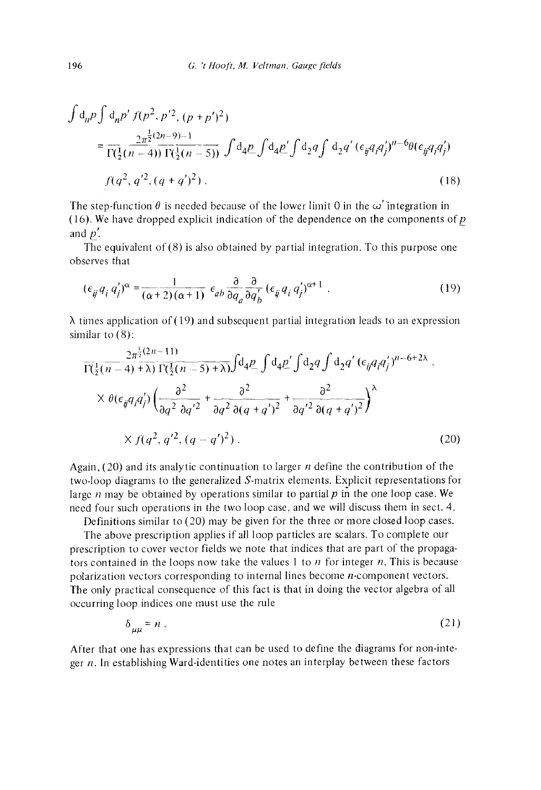$$
\int d_{n}p \int d_{n}p' f(p^{2}, p'^{2}, (p + p')^{2})
$$
\n
$$
= \frac{2\pi^{2}(2n-9)-1}{\Gamma(\frac{1}{2}(n-4))\Gamma(\frac{1}{2}(n-5))} \int d_{4}p \int d_{4}p' \int d_{2}q \int d_{2}q' (\epsilon_{ij}q_{i}q_{j}')^{n-6}\theta(\epsilon_{ij}q_{i}q_{j}')
$$
\n
$$
f(q^{2}, q'^{2}, (q + q')^{2}).
$$
\n(18)

The step-function  $\theta$  is needed because of the lower limit 0 in the  $\omega'$  integration in (16). We have dropped explicit indication of the dependence on the components of  $p$ and  $p'$ .

The equivalent of  $(8)$  is also obtained by partial integration. To this purpose one observes that

$$
(\epsilon_{ij} q_i q'_j)^{\alpha} = \frac{1}{(\alpha+2)(\alpha+1)} \epsilon_{ab} \frac{\partial}{\partial q_a} \frac{\partial}{\partial q'_b} (\epsilon_{ij} q_i q'_j)^{\alpha+1} . \tag{19}
$$

 $\lambda$  times application of (19) and subsequent partial integration leads to an expression similar to (8):

$$
\frac{2\pi^{\frac{1}{2}(2n-11)}}{\Gamma(\frac{1}{2}(n-4)+\lambda)\Gamma(\frac{1}{2}(n-5)+\lambda)}\int d_{4}\underline{p}\int d_{4}\underline{p}' \int d_{2}q \int d_{2}q' \left(\epsilon_{ij}q_{i}q_{j}'\right)^{n-6+2\lambda}.
$$
\n
$$
\times \theta(\epsilon_{ij}q_{i}q_{j}')\left(\frac{\partial^{2}}{\partial q^{2}\partial q'^{2}}+\frac{\partial^{2}}{\partial q^{2}\partial (q+q')^{2}}+\frac{\partial^{2}}{\partial q'^{2}\partial (q+q')^{2}}\right)^{\lambda}
$$
\n
$$
\times f(q^{2}, q'^{2}, (q-q')^{2}). \tag{20}
$$

Again,  $(20)$  and its analytic continuation to larger *n* define the contribution of the two-loop diagrams to the generalized S-matrix elements. Explicit representations for large *n* may be obtained by operations similar to partial  $p$  in the one loop case. We need four such operations in the two loop case, and we will discuss them in sect. 4.

Definitions similar to (20) may be given for the three or more closed loop cases. The above prescription applies if all loop particles are scalars. To complete our prescription to cover vector fields we note that indices that are part of the propagators contained in the loops now take the values 1 to  $n$  for integer  $n$ . This is because polarization vectors corresponding to internal lines become  $n$ -component vectors. The only practical consequence of this fact is that in doing the vector algebra of all occurring loop indices one must use the rule

$$
\delta_{\mu\mu} = n \tag{21}
$$

After that one has expressions that can be used to define the diagrams for non-integer  $n$ . In establishing Ward-identities one notes an interplay between these factors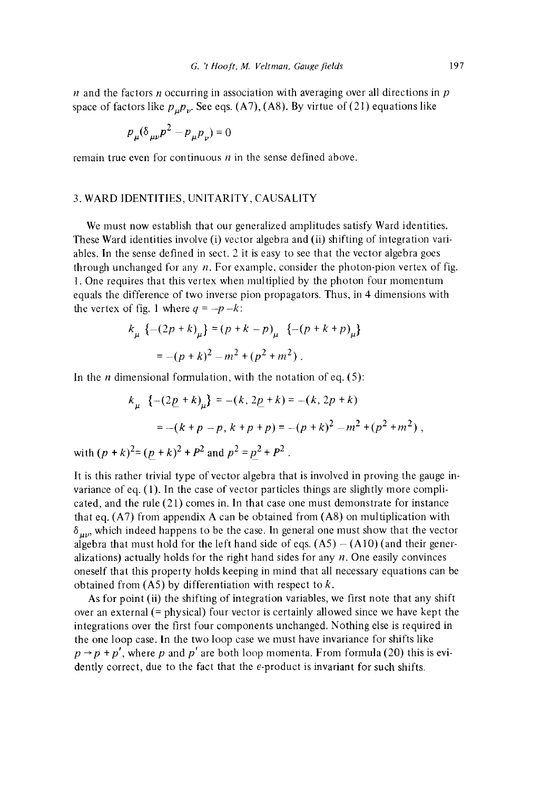$n$  and the factors  $n$  occurring in association with averaging over all directions in  $p$ space of factors like  $p_{\mu}p_{\nu}$ . See eqs. (A7), (A8). By virtue of (21) equations like

$$
p_\mu (\delta_{\mu\nu} p^2 - p_\mu p_\nu) = 0
$$

remain true even for continuous  $n$  in the sense defined above.

#### 3. WARD IDENTITIES, UNITARITY, CAUSALITY

We must now establish that our generalized amplitudes satisfy Ward identities. These Ward identities involve  $(i)$  vector algebra and  $(ii)$  shifting of integration variables. In the sense defined in sect. 2 it is easy to see that the vector algebra goes through unchanged for any  $n$ . For example, consider the photon-pion vertex of fig. 1. One requires that this vertex when multiplied by the photon four momentum equals the difference of two inverse pion propagators. Thus, in 4 dimensions with the vertex of fig. 1 where  $q = -p - k$ :

$$
k_{\mu} \left\{ -(2p+k)_{\mu} \right\} = (p+k-p)_{\mu} \left\{ -(p+k+p)_{\mu} \right\}
$$

$$
= -(p+k)^{2} - m^{2} + (p^{2}+m^{2}).
$$

In the *n* dimensional formulation, with the notation of eq.  $(5)$ :

$$
k_{\mu} \left\{ -(2\underline{p} + k)_{\mu} \right\} = -(k, 2\underline{p} + k) = -(k, 2p + k)
$$
  
= -(k + p - p, k + p + p) = -(p + k)<sup>2</sup> - m<sup>2</sup> + (p<sup>2</sup> + m<sup>2</sup>),

with  $(p + k)^2 = (p + k)^2 + P^2$  and  $p^2 = p^2 + P^2$ .

It is this rather trivial type of vector algebra that is involved in proving the gauge invariance of eq. (1). In the case of vector particles things are slightly more complicated, and the rule (21) comes in. In that case one must demonstrate for instance that eq.  $(A7)$  from appendix A can be obtained from  $(A8)$  on multiplication with  $\delta_{\mu\nu}$ , which indeed happens to be the case. In general one must show that the vector algebra that must hold for the left hand side of eqs.  $(A5) - (A10)$  (and their generalizations) actually holds for the right hand sides for any  $n$ . One easily convinces oneself that this property holds keeping in mind that all necessary equations can be obtained from  $(A5)$  by differentiation with respect to  $k$ .

As for point (ii) the shifting of integration variables, we first note that any shift over an external (= physical) four vector is certainly allowed since we have kept the integrations over the first four components unchanged. Nothing else is required in the one loop case. In the two loop case we must have invariance for shifts like  $p \rightarrow p + p'$ , where p and p' are both loop momenta. From formula (20) this is evidently correct, due to the fact that the  $\epsilon$ -product is invariant for such shifts.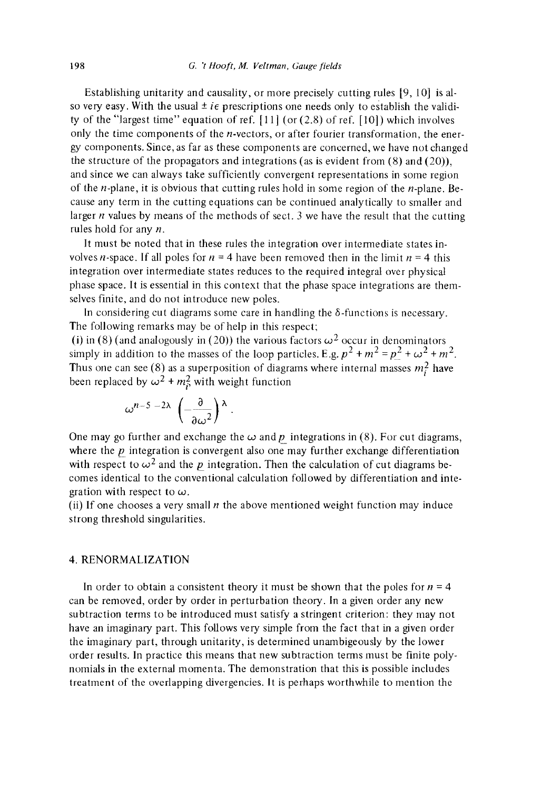Establishing unitarity and causality, or more precisely cutting rules [9, 10] is also very easy. With the usual  $\pm i\epsilon$  prescriptions one needs only to establish the validity of the "largest time" equation of ref.  $[11]$  (or  $(2.8)$  of ref.  $[10]$ ) which involves only the time components of the *n*-vectors, or after fourier transformation, the energy components. Since, as far as these components are concerned, we have not changed the structure of the propagators and integrations (as is evident from  $(8)$  and  $(20)$ ), and since we can always take sufficiently convergent representations in some region of the n-plane, it is obvious that cutting rules hold in some region of the n-plane. Because any term in the cutting equations can be continued analytically to smaller and larger  $n$  values by means of the methods of sect. 3 we have the result that the cutting rules hold for any  $n$ .

It must be noted that in these rules the integration over intermediate states involves *n*-space. If all poles for  $n = 4$  have been removed then in the limit  $n = 4$  this integration over intermediate states reduces to the required integral over physical phase space. It is essential in this context that the phase space integrations are themselves finite, and do not introduce new poles.

In considering cut diagrams some care in handling the  $\delta$ -functions is necessary. The following remarks may be of help in this respect;

(i) in (8) (and analogously in (20)) the various factors  $\omega^2$  occur in denominators simply in addition to the masses of the loop particles. E.g.  $p^2 + m^2 = p^2 + \omega^2 + m^2$ . Thus one can see (8) as a superposition of diagrams where internal masses  $m_i^2$  have been replaced by  $\omega^2 + m_r^2$  with weight function

$$
\omega^{n-5-2\lambda}\,\left(-\frac{\partial}{\partial\omega^2}\right)^\lambda.
$$

One may go further and exchange the  $\omega$  and p\_integrations in (8). For cut diagrams, where the  $p$  integration is convergent also one may further exchange differentiation with respect to  $\omega^2$  and the p integration. Then the calculation of cut diagrams becomes identical to the conventional calculation followed by differentiation and integration with respect to  $\omega$ .

(ii) If one chooses a very small  $n$  the above mentioned weight function may induce strong threshold singularities.

### 4. RENORMALIZATION

In order to obtain a consistent theory it must be shown that the poles for  $n = 4$ can be removed, order by order in perturbation theory. In a given order any new subtraction terms to be introduced must satisfy a stringent criterion: they may not have an imaginary part. This follows very simple from the fact that in a given order the imaginary part, through unitarity, is determined unambigeously by the lower order results. In practice this means that new subtraction terms must be finite polynomials in the external momenta. The demonstration that this is possible includes treatment of the overlapping divergencies. It is perhaps worthwhile to mention the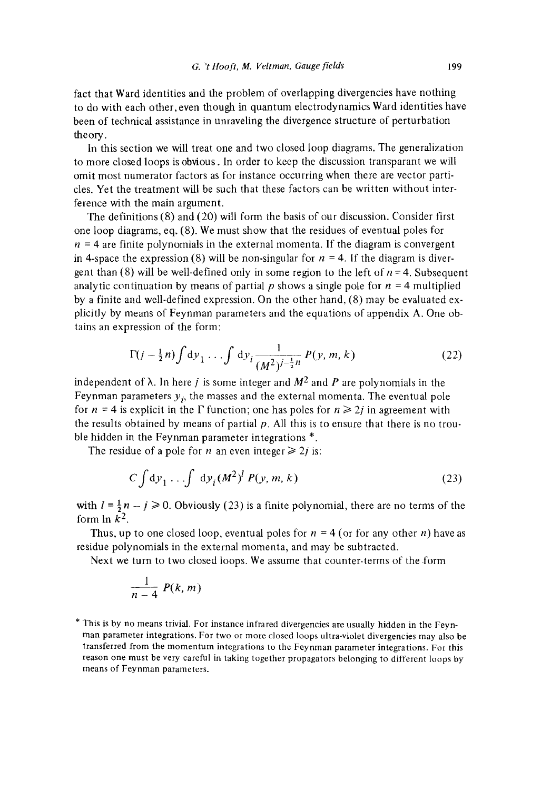fact that Ward identities and the problem of overlapping divergencies have nothing to do with each other, even though in quantum electrodynamics Ward identities have been of technical assistance in unraveling the divergence structure of perturbation theory.

In this section we will treat one and two closed loop diagrams. The generalization to more closed loops is obvious. In order to keep the discussion transparant we will omit most numerator factors as for instance occurring when there are vector particles. Yet the treatment will be such that these factors can be written without interference with the main argument.

The definitions (8) and (20) will form the basis of our discussion. Consider first one loop diagrams, eq. (8). We must show that the residues of eventual poles for  $n = 4$  are finite polynomials in the external momenta. If the diagram is convergent in 4-space the expression (8) will be non-singular for  $n = 4$ . If the diagram is divergent than (8) will be well-defined only in some region to the left of  $n = 4$ . Subsequent analytic continuation by means of partial p shows a single pole for  $n = 4$  multiplied by a finite and well-defined expression. On the other hand, (8) may be evaluated explicitly by means of Feynman parameters and the equations of appendix A. One obtains an expression of the form:

$$
\Gamma(j - \frac{1}{2}n) \int \mathrm{d}y_1 \dots \int \mathrm{d}y_i \frac{1}{(M^2)^{j - \frac{1}{2}n}} P(y, m, k) \tag{22}
$$

independent of  $\lambda$ . In here *j* is some integer and  $M^2$  and P are polynomials in the Feynman parameters *Yi,* the masses and the external momenta. The eventual pole for  $n = 4$  is explicit in the  $\Gamma$  function; one has poles for  $n \ge 2j$  in agreement with the results obtained by means of partial  $p$ . All this is to ensure that there is no trouble hidden in the Feynman parameter integrations  $*$ .

The residue of a pole for *n* an even integer  $\ge 2i$  is:

$$
C \int dy_1 \dots \int dy_i (M^2)^l P(y, m, k)
$$
 (23)

with  $l = \frac{1}{2}n - j \ge 0$ . Obviously (23) is a finite polynomial, there are no terms of the form  $\ln k^2$ .

Thus, up to one closed loop, eventual poles for  $n = 4$  (or for any other *n*) have as residue polynomials in the external momenta, and may be subtracted.

Next we turn to two closed loops. We assume that counter-terms of the form

$$
\frac{1}{n-4}\ P(k,m)
$$

\* This is by no means trivial. For instance infrared divergencies are usually hidden in the Feynman parameter integrations. For two or more closed loops ultra-violet divergencies may also be transferred from the momentum integrations to the Feynman parameter integrations. For this reason one must be very careful in taking together propagators belonging to different loops by means of Feynman parameters.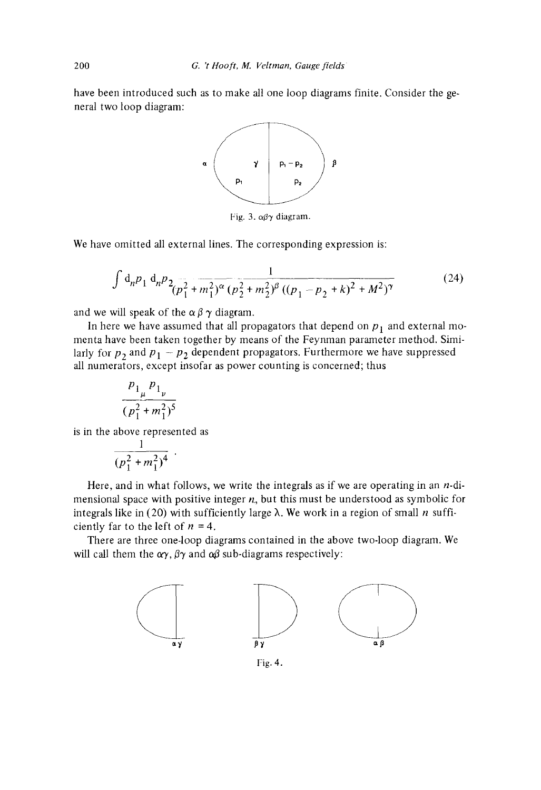have been introduced such as to make all one loop diagrams finite. Consider the general two loop diagram:



Fig. 3.  $\alpha\beta\gamma$  diagram.

We have omitted all external lines. The corresponding expression is:

$$
\int d_{n}p_{1} d_{n}p_{2} \frac{1}{(p_{1}^{2}+m_{1}^{2})^{\alpha}(p_{2}^{2}+m_{2}^{2})^{\beta}((p_{1}-p_{2}+k)^{2}+M^{2})^{\gamma}}
$$
(24)

and we will speak of the  $\alpha \beta \gamma$  diagram.

In here we have assumed that all propagators that depend on  $p_1$  and external momenta have been taken together by means of the Feynman parameter method. Similarly for  $p_2$  and  $p_1 - p_2$  dependent propagators. Furthermore we have suppressed all numerators, except insofar as power counting is concerned; thus

$$
\frac{p_{1_{\mu}}p_{1_{\nu}}}{(p_1^2+m_1^2)^5}
$$

is in the above represented as

$$
\frac{1}{(p_1^2+m_1^2)^4}
$$

Here, and in what follows, we write the integrals as if we are operating in an  $n$ -dimensional space with positive integer  $n$ , but this must be understood as symbolic for integrals like in (20) with sufficiently large  $\lambda$ . We work in a region of small *n* sufficiently far to the left of  $n = 4$ .

There are three one-loop diagrams contained in the above two-loop diagram. We will call them the  $\alpha\gamma$ ,  $\beta\gamma$  and  $\alpha\beta$  sub-diagrams respectively:

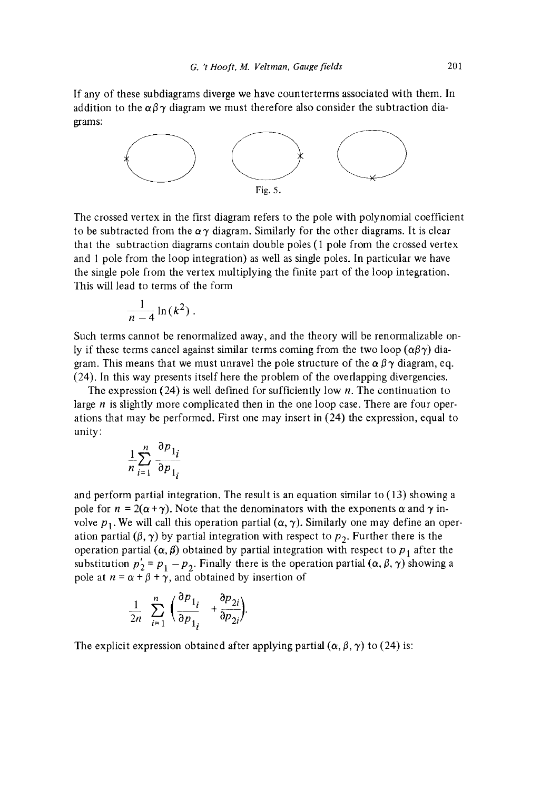If any of these subdiagrams diverge we have counterterms associated with them. In addition to the  $\alpha\beta\gamma$  diagram we must therefore also consider the subtraction diagrams:



The crossed vertex in the first diagram refers to the pole with polynomial coefficient to be subtracted from the  $\alpha\gamma$  diagram. Similarly for the other diagrams. It is clear that the subtraction diagrams contain double poles (1 pole from the crossed vertex and 1 pole from the loop integration) as well as single poles. In particular we have the single pole from the vertex multiplying the finite part of the loop integration. This will lead to terms of the form

$$
\frac{1}{n-4}\ln\left(k^2\right).
$$

Such terms cannot be renormalized away, and the theory will be renormalizable only if these terms cancel against similar terms coming from the two loop  $(\alpha\beta\gamma)$  diagram. This means that we must unravel the pole structure of the  $\alpha \beta \gamma$  diagram, eq. (24). In this way presents itself here the problem of the overlapping divergencies.

The expression (24) is well defined for *sufficiently* low n. The continuation to large n is slightly more complicated then in the one loop *case.* There are four operations that may be performed. First one may insert in (24) the expression, equal to unity:

$$
\frac{1}{n}\sum_{i=1}^n \frac{\partial p_{1i}}{\partial p_{1i}}
$$

and perform partial integration. The result is an equation similar to (13) showing a pole for  $n = 2(\alpha + \gamma)$ . Note that the denominators with the exponents  $\alpha$  and  $\gamma$  involve  $p_1$ . We will call this operation partial  $(\alpha, \gamma)$ . Similarly one may define an operation partial ( $\beta$ ,  $\gamma$ ) by partial integration with respect to  $p_2$ . Further there is the operation partial  $(\alpha,\beta)$  obtained by partial integration with respect to  $p_1$  after the substitution  $p'_2 = p_1 - p_2$ . Finally there is the operation partial  $(\alpha, \beta, \gamma)$  showing a pole at  $n = \alpha + \beta + \gamma$ , and obtained by insertion of

$$
\frac{1}{2n} \sum_{i=1}^n \left( \frac{\partial p_{1_i}}{\partial p_{1_i}} + \frac{\partial p_{2i}}{\partial p_{2i}} \right).
$$

The explicit expression obtained after applying partial  $(\alpha, \beta, \gamma)$  to (24) is: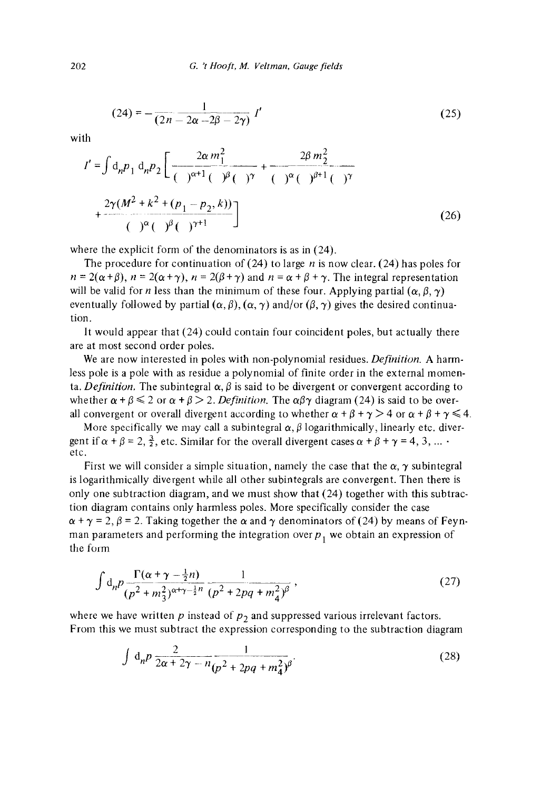$$
(24) = -\frac{1}{(2n - 2\alpha - 2\beta - 2\gamma)} I'
$$
 (25)

with

$$
I' = \int d_n p_1 d_n p_2 \left[ \frac{2\alpha m_1^2}{(\gamma^{\alpha+1} (\gamma^\beta (\gamma^\gamma)} + \frac{2\beta m_2^2}{(\gamma^\alpha (\gamma^{\beta+1} (\gamma^\gamma)} + \frac{2\gamma (M^2 + k^2 + (p_1 - p_2, k)))}{(\gamma^\alpha (\gamma^\beta (\gamma^\gamma)^{1})}) \right]
$$
(26)

where the explicit form of the denominators is as in (24).

The procedure for continuation of  $(24)$  to large *n* is now clear.  $(24)$  has poles for  $n = 2(\alpha + \beta)$ ,  $n = 2(\alpha + \gamma)$ ,  $n = 2(\beta + \gamma)$  and  $n = \alpha + \beta + \gamma$ . The integral representation will be valid for *n* less than the minimum of these four. Applying partial  $(\alpha, \beta, \gamma)$ eventually followed by partial  $(\alpha, \beta)$ ,  $(\alpha, \gamma)$  and/or  $(\beta, \gamma)$  gives the desired continuation.

It would appear that (24) could contain four coincident poles, but actually there are at most second order poles.

We are now interested in poles with non-polynomial residues. *Definition*. A harmless pole is a pole with as residue a polynomial of finite order in the external momenta. *Definition*. The subintegral  $\alpha$ ,  $\beta$  is said to be divergent or convergent according to whether  $\alpha + \beta \leq 2$  or  $\alpha + \beta > 2$ . *Definition*. The  $\alpha\beta\gamma$  diagram (24) is said to be overall convergent or overall divergent according to whether  $\alpha + \beta + \gamma > 4$  or  $\alpha + \beta + \gamma \leq 4$ .

More specifically we may call a subintegral  $\alpha$ ,  $\beta$  logarithmically, linearly etc. divergent if  $\alpha + \beta = 2, \frac{3}{2}$ , etc. Similar for the overall divergent cases  $\alpha + \beta + \gamma = 4, 3, ...$ etc.

First we will consider a simple situation, namely the case that the  $\alpha$ ,  $\gamma$  subintegral is logarithmically divergent while all other subintegrals are convergent. Then there is only one subtraction diagram, and we must show that (24) together with this subtraction diagram contains only harmless poles. More specifically consider the case  $\alpha + \gamma = 2$ ,  $\beta = 2$ . Taking together the  $\alpha$  and  $\gamma$  denominators of (24) by means of Feynman parameters and performing the integration over  $p_1$  we obtain an expression of the form

$$
\int d_{n}p \frac{\Gamma(\alpha + \gamma - \frac{1}{2}n)}{(p^{2} + m_{3}^{2})^{\alpha + \gamma - \frac{1}{2}n}} \frac{1}{(p^{2} + 2pq + m_{4}^{2})^{\beta}},
$$
\n(27)

where we have written  $p$  instead of  $p_2$  and suppressed various irrelevant factors. From this we must subtract the expression corresponding to the subtraction diagram

$$
\int d_{n}p \frac{2}{2\alpha + 2\gamma - n} \frac{1}{(p^{2} + 2pq + m_{4}^{2})^{\beta}}.
$$
 (28)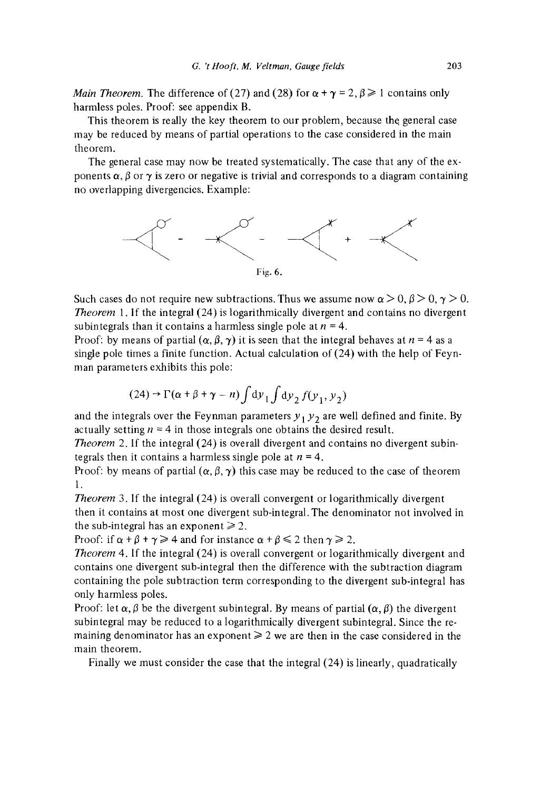*Main Theorem.* The difference of (27) and (28) for  $\alpha + \gamma = 2, \beta \ge 1$  contains only harmless poles. Proof: see appendix B.

This theorem is really the key theorem to our problem, because the general case may be reduced by means of partial operations to the case considered in the main theorem.

The general case may now be treated systematically. The case that any of the exponents  $\alpha$ ,  $\beta$  or  $\gamma$  is zero or negative is trivial and corresponds to a diagram containing no overlapping divergencies. Example:



Such cases do not require new subtractions. Thus we assume now  $\alpha > 0$ ,  $\beta > 0$ ,  $\gamma > 0$ . *Theorem* 1. If the integral (24) is logarithmically divergent and contains no divergent subintegrals than it contains a harmless single pole at  $n = 4$ .

Proof: by means of partial  $(\alpha, \beta, \gamma)$  it is seen that the integral behaves at  $n = 4$  as a single pole times a finite function. Actual calculation of (24) with the help of Feynman parameters exhibits this pole:

$$
(24) \rightarrow \Gamma(\alpha + \beta + \gamma - n) \int d\mathcal{y}_1 \int d\mathcal{y}_2 f(\mathcal{y}_1, \mathcal{y}_2)
$$

and the integrals over the Feynman parameters  $y_1 y_2$  are well defined and finite. By actually setting  $n = 4$  in those integrals one obtains the desired result.

*Theorem* 2. If the integral (24) is overall divergent and contains no divergent subintegrals then it contains a harmless single pole at  $n = 4$ .

Proof: by means of partial  $(\alpha, \beta, \gamma)$  this case may be reduced to the case of theorem 1.

*Theorem* 3. If the integral (24) is overall convergent or logarithmically divergent then it contains at most one divergent sub-integral. The denominator not involved in the sub-integral has an exponent  $\ge 2$ .

Proof: if  $\alpha + \beta + \gamma \ge 4$  and for instance  $\alpha + \beta \le 2$  then  $\gamma \ge 2$ .

*Theorem* 4. If the integral (24) is overall convergent or logarithmically divergent and contains one divergent sub-integral then the difference with the subtraction diagram containing the pole subtraction term corresponding to the divergent sub-integral has only harmless poles.

Proof: let  $\alpha, \beta$  be the divergent subintegral. By means of partial  $(\alpha, \beta)$  the divergent subintegral may be reduced to a logarithmically divergent subintegral. Since the remaining denominator has an exponent  $\geq 2$  we are then in the case considered in the main theorem.

Finally we must consider the case that the integral (24) is linearly, quadratically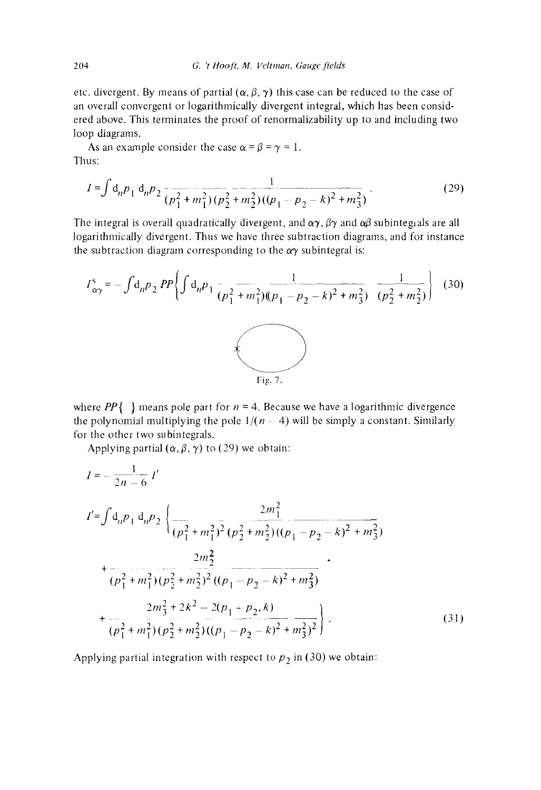etc. divergent. By means of partial  $(\alpha, \beta, \gamma)$  this case can be reduced to the case of an overall convergent or logarithmically divergent integral, which has been considered above. This terminates the proof of renormalizability up to and including two loop diagrams.

As an example consider the case  $\alpha = \beta = \gamma = 1$ . Thus:

$$
I = \int d_n p_1 d_n p_2 \frac{1}{(p_1^2 + m_1^2)(p_2^2 + m_2^2)((p_1 - p_2 - k)^2 + m_3^2)}
$$
 (29)

The integral is overall quadratically divergent, and  $\alpha\gamma$ ,  $\beta\gamma$  and  $\alpha\beta$  subintegrals are all logarithmically divergent. Thus we have three subtraction diagrams, and for instance the subtraction diagram corresponding to the  $\alpha\gamma$  subintegral is:

$$
I_{\alpha\gamma}^{s} = -\int d_{n}p_{2} \, PP \left( \int d_{n}p_{1} \frac{1}{(p_{1}^{2} + m_{1}^{2})(p_{1} - p_{2} - k)^{2} + m_{3}^{2}} \right) \frac{1}{(p_{2}^{2} + m_{2}^{2})} \tag{30}
$$

where  $PP\{\}$  means pole part for  $n = 4$ . Because we have a logarithmic divergence the polynomial multiplying the pole  $1/(n-4)$  will be simply a constant. Similarly for the other two subintegrals.

Applying partial  $(\alpha, \beta, \gamma)$  to (29) we obtain:

$$
I = -\frac{1}{2n - 6} I'
$$
  
\n
$$
I' = \int d_n p_1 d_n p_2 \left\{ \frac{2m_1^2}{(p_1^2 + m_1^2)^2 (p_2^2 + m_2^2)((p_1 - p_2 - k)^2 + m_3^2)} \right\}
$$
  
\n
$$
+ \frac{2m_2^2}{(p_1^2 + m_1^2)(p_2^2 + m_2^2)^2 ((p_1 - p_2 - k)^2 + m_3^2)}
$$
  
\n
$$
+ \frac{2m_3^2 + 2k^2 - 2(p_1 - p_2, k)}{(p_1^2 + m_1^2)(p_2^2 + m_2^2)((p_1 - p_2 - k)^2 + m_3^2)^2} \right\}.
$$
  
\n(31)

Applying partial integration with respect to  $p_2$  in (30) we obtain: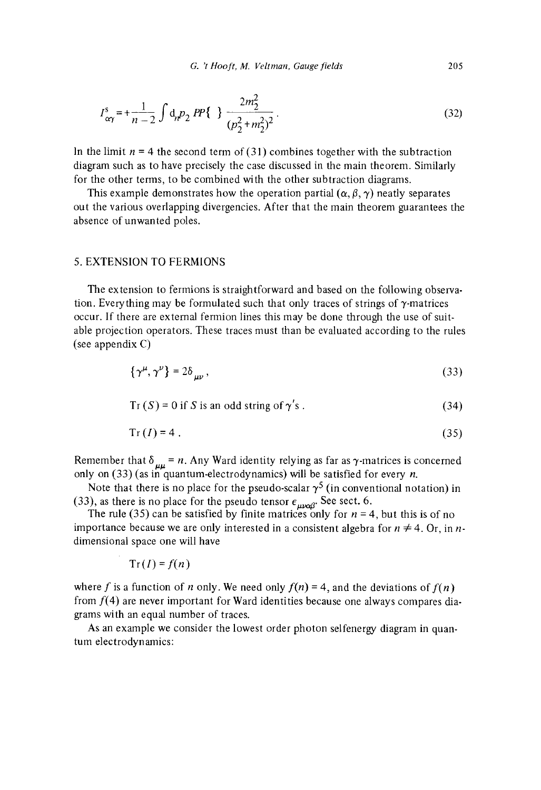$$
I_{\alpha\gamma}^s = +\frac{1}{n-2} \int d_n p_2 \ PP\{ \} \frac{2m_2^2}{(p_2^2 + m_2^2)^2}.
$$
 (32)

In the limit  $n = 4$  the second term of (31) combines together with the subtraction diagram such as to have precisely the case discussed in the main theorem. Similarly for the other terms, to be combined with the other subtraction diagrams.

This example demonstrates how the operation partial  $(\alpha, \beta, \gamma)$  neatly separates out the various overlapping divergencies. After that the main theorem guarantees the absence of unwanted poles.

### 5. EXTENSION TO FERMIONS

The extension to fermions is straightforward and based on the following observation. Everything may be formulated such that only traces of strings of  $\gamma$ -matrices occur. If there are external fennion lines this may be done through the use of suitable projection operators. These traces must than be evaluated according to the rules (see appendix C)

$$
\{\gamma^{\mu}, \gamma^{\nu}\} = 2\delta_{\mu\nu},\tag{33}
$$

$$
Tr (S) = 0 \text{ if } S \text{ is an odd string of } \gamma's . \tag{34}
$$

$$
Tr(I) = 4. \tag{35}
$$

Remember that  $\delta_{uu} = n$ . Any Ward identity relying as far as  $\gamma$ -matrices is concerned only on  $(33)$  (as in quantum-electrodynamics) will be satisfied for every *n*.

Note that there is no place for the pseudo-scalar  $\gamma^5$  (in conventional notation) in (33), as there is no place for the pseudo tensor  $\epsilon_{\mu\nu\alpha\beta}$ . See sect. 6.

The rule (35) can be satisfied by finite matrices only for  $n = 4$ , but this is of no importance because we are only interested in a consistent algebra for  $n \neq 4$ . Or, in *n*dimensional space one will have

$$
Tr(I)=f(n)
$$

where f is a function of n only. We need only  $f(n) = 4$ , and the deviations of  $f(n)$ from  $f(4)$  are never important for Ward identities because one always compares diagrams with an equal number of traces.

As an example we consider the lowest order photon selfenergy diagram in quantum electrodynamics: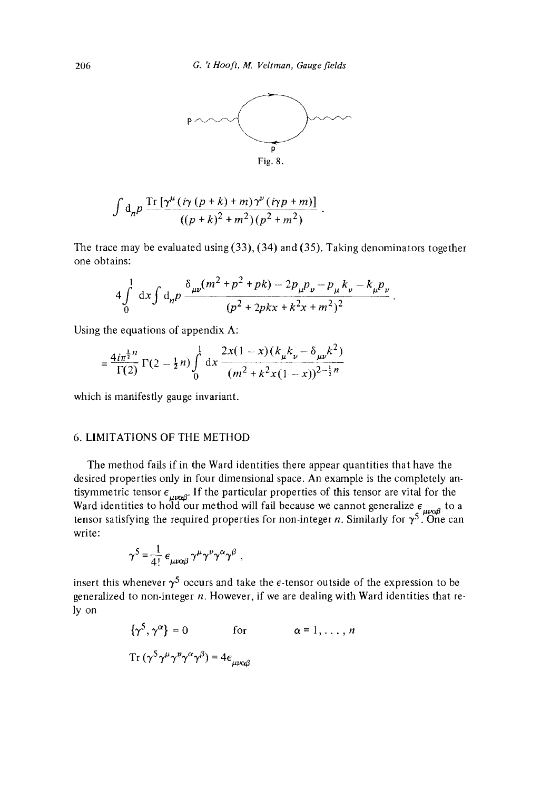

$$
\int d_{n}p \frac{\operatorname{Tr}[\gamma^{\mu}(i\gamma(p+k)+m)\gamma^{\nu}(i\gamma p+m)]}{((p+k)^{2}+m^{2})(p^{2}+m^{2})}
$$

The trace may be evaluated using  $(33)$ ,  $(34)$  and  $(35)$ . Taking denominators together one obtains:

$$
4\int_{0}^{1} dx \int d_{n}p \frac{\delta_{\mu\nu}(m^{2}+p^{2}+pk) - 2p_{\mu}p_{\nu} - p_{\mu}k_{\nu} - k_{\mu}p_{\nu}}{(p^{2}+2pkx+k^{2}x+m^{2})^{2}}
$$

Using the equations of appendix A:

$$
=\frac{4i\pi^{\frac{1}{2}n}}{\Gamma(2)}\Gamma(2-\frac{1}{2}n)\int\limits_{0}^{1}dx\frac{2x(1-x)(k_{\mu}k_{\nu}-\delta_{\mu\nu}k^{2})}{(m^{2}+k^{2}x(1-x))^{2-\frac{1}{2}n}}
$$

which is manifestly gauge invariant.

# 6. LIMITATIONS OF THE METHOD

The method fails if in the Ward identities there appear quantities that have the desired properties only in four dimensional space. An example is the completely antisymmetric tensor  $\epsilon_{\mu\nu\alpha\beta}$ . If the particular properties of this tensor are vital for the Ward identities to hold our method will fail because we cannot generalize  $\epsilon_{\mu\nu\alpha\beta}$  to a tensor satisfying the required properties for non-integer n. Similarly for  $\gamma^5$ . One can write:

$$
\gamma^5 = \frac{1}{4!} \epsilon_{\mu\nu\alpha\beta} \gamma^{\mu} \gamma^{\nu} \gamma^{\alpha} \gamma^{\beta} ,
$$

insert this whenever  $\gamma^5$  occurs and take the e-tensor outside of the expression to be generalized to non-integer  $n$ . However, if we are dealing with Ward identities that rely on

$$
\{\gamma^5, \gamma^{\alpha}\} = 0 \qquad \text{for} \qquad \alpha = 1, \dots, n
$$
  
Tr  $(\gamma^5 \gamma^{\mu} \gamma^{\nu} \gamma^{\alpha} \gamma^{\beta}) = 4 \epsilon_{\mu\nu\alpha\beta}$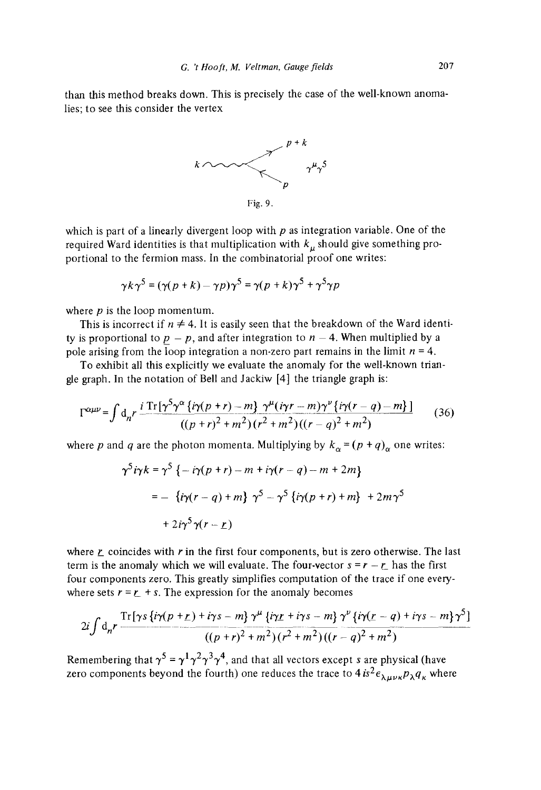than this method breaks down. This is precisely the case of the well-known anomalies; to see this consider the vertex



which is part of a linearly divergent loop with  $p$  as integration variable. One of the required Ward identities is that multiplication with  $k<sub>u</sub>$  should give something proportional to the fermion mass. In the combinatorial proof one writes:

$$
\gamma k \gamma^5 = (\gamma (p+k) - \gamma p) \gamma^5 = \gamma (p+k) \gamma^5 + \gamma^5 \gamma p
$$

where  $p$  is the loop momentum.

This is incorrect if  $n \neq 4$ . It is easily seen that the breakdown of the Ward identity is proportional to  $p - p$ , and after integration to  $n - 4$ . When multiplied by a pole arising from the loop integration a non-zero part remains in the limit  $n = 4$ .

To exhibit all this explicitly we evaluate the anomaly for the well-known triangle graph. In the notation of Bell and Jackiw [4] the triangle graph is:

$$
\Gamma^{\alpha\mu\nu} = \int d_n r \, \frac{i \, \text{Tr} \{ \gamma^5 \gamma^\alpha \{ i \gamma (p+r) - m \} \, \gamma^\mu (i \gamma r - m) \gamma^\nu \{ i \gamma (r-q) - m \} \} }{((p+r)^2 + m^2) \, (r^2 + m^2) \, ((r-q)^2 + m^2)}
$$
(36)

where p and q are the photon momenta. Multiplying by  $k_{\alpha} = (p + q)_{\alpha}$  one writes:

$$
\gamma^{5} i \gamma k = \gamma^{5} \{-i\gamma(p+r) - m + i\gamma(r-q) - m + 2m\}
$$
  
= 
$$
- \{i\gamma(r-q) + m\} \ \gamma^{5} - \gamma^{5} \{i\gamma(p+r) + m\} + 2m\gamma^{5}
$$
  
+ 
$$
2i\gamma^{5} \gamma(r-r)
$$

where  $r$  coincides with  $r$  in the first four components, but is zero otherwise. The last term is the anomaly which we will evaluate. The four-vector  $s = r - r$  has the first four components zero. This greatly simplifies computation of the trace if one everywhere sets  $r = r + s$ . The expression for the anomaly becomes

$$
2i\int d_n r \frac{\operatorname{Tr}[\gamma s\left\{i\gamma(p+\underline{r})+i\gamma s-m\right\}\gamma^{\mu}\left\{i\gamma\underline{r}+i\gamma s-m\right\}\gamma^{\nu}\left\{i\gamma(\underline{r}-q)+i\gamma s-m\right\}\gamma^5]}{((p+r)^2+m^2)(r^2+m^2)((r-q)^2+m^2)}
$$

Remembering that  $\gamma^5 = \gamma^1 \gamma^2 \gamma^3 \gamma^4$ , and that all vectors except s are physical (have zero components beyond the fourth) one reduces the trace to  $4 i s^2 \epsilon_{\lambda \mu \nu \kappa} p_{\lambda} q_{\kappa}$  where

 $\overline{a}$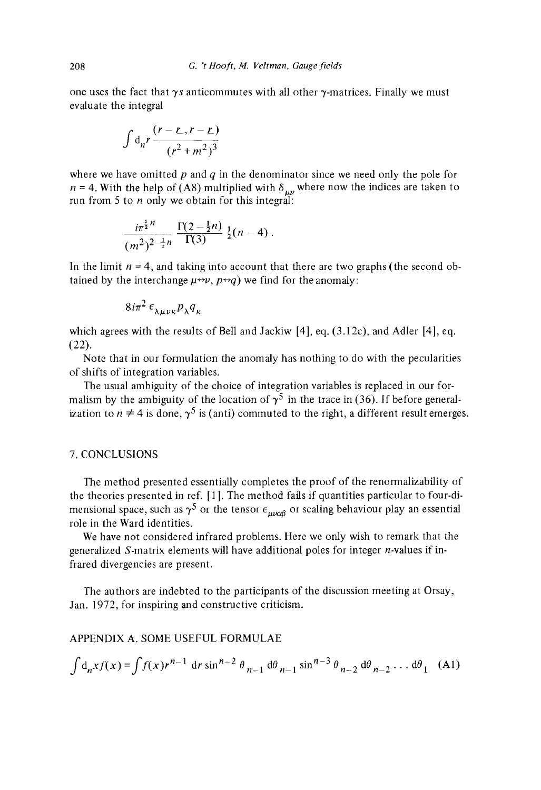one uses the fact that  $\gamma s$  anticommutes with all other  $\gamma$ -matrices. Finally we must evaluate the integral

$$
\int d_n r \frac{(r-\underline{r},r-\underline{r})}{(r^2+m^2)^3}
$$

where we have omitted  $p$  and  $q$  in the denominator since we need only the pole for  $n = 4$ . With the help of (A8) multiplied with  $\delta_{uv}$  where now the indices are taken to run from 5 to  $n$  only we obtain for this integral:

$$
\frac{i\pi^{\frac{1}{2}n}}{(m^2)^{2-\frac{1}{2}n}}\frac{\Gamma(2-\frac{1}{2}n)}{\Gamma(3)}\frac{1}{2}(n-4)
$$

In the limit  $n = 4$ , and taking into account that there are two graphs (the second obtained by the interchange  $\mu \leftrightarrow \nu$ ,  $p \leftrightarrow q$ ) we find for the anomaly:

$$
8i\pi^2\,\epsilon_{\lambda\mu\nu\kappa}p_{\lambda}q_{\kappa}
$$

which agrees with the results of Bell and Jackiw [4], eq.  $(3.12c)$ , and Adler [4], eq. (22).

Note that in our formulation the anomaly has nothing to do with the pecularities of shifts of integration variables.

The usual ambiguity of the choice of integration variables is replaced in our formalism by the ambiguity of the location of  $\gamma^5$  in the trace in (36). If before generalization to  $n \neq 4$  is done,  $\gamma^5$  is (anti) commuted to the right, a different result emerges.

#### 7. CONCLUSIONS

The method presented essentially completes the proof of the renormalizability of the theories presented in ref. [1 ]. The method fails if quantities particular to four-dimensional space, such as  $\gamma^5$  or the tensor  $\epsilon_{\mu\nu\alpha\beta}$  or scaling behaviour play an essential role in the Ward identities.

We have not considered infrared problems. Here we only wish to remark that the generalized S-matrix elements will have additional poles for integer n-values if infrared divergencies are present.

The authors are indebted to the participants of the discussion meeting at Orsay, Jan. 1972, for inspiring and constructive criticism.

### APPENDIX A. SOME USEFUL FORMULAE

$$
\int d_n x f(x) = \int f(x) r^{n-1} dr \sin^{n-2} \theta_{n-1} d\theta_{n-1} \sin^{n-3} \theta_{n-2} d\theta_{n-2} \dots d\theta_1
$$
 (A1)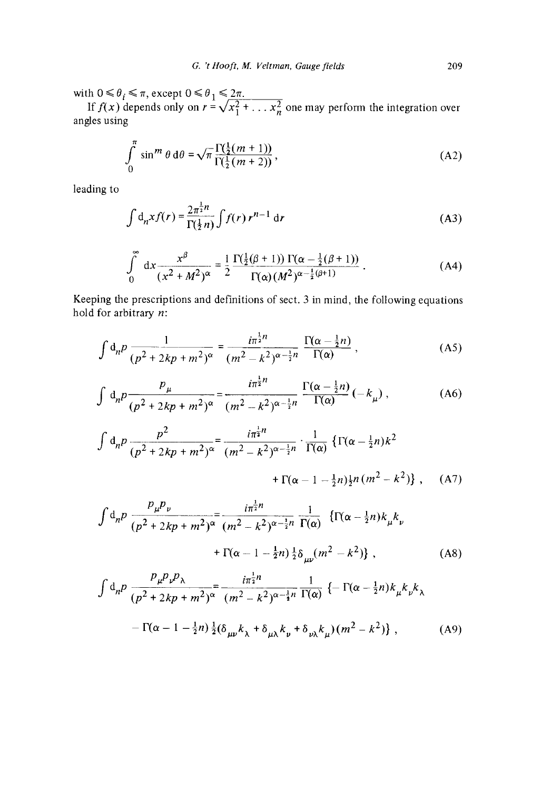with  $0 \le \theta_i \le \pi$ , except  $0 \le \theta_1 \le 2\pi$ .

If  $f(x)$  depends only on  $r = \sqrt{x_1^2 + \dots x_n^2}$  one may perform the integration over angles using

$$
\int_{0}^{\pi} \sin^{m} \theta \, d\theta = \sqrt{\pi} \frac{\Gamma(\frac{1}{2}(m+1))}{\Gamma(\frac{1}{2}(m+2))},\tag{A2}
$$

leading to

$$
\int d_n x f(r) = \frac{2\pi^{\frac{1}{2}n}}{\Gamma(\frac{1}{2}n)} \int f(r) r^{n-1} dr
$$
 (A3)

$$
\int_{0}^{\infty} dx \frac{x^{\beta}}{(x^{2} + M^{2})^{\alpha}} = \frac{1}{2} \frac{\Gamma(\frac{1}{2}(\beta + 1)) \Gamma(\alpha - \frac{1}{2}(\beta + 1))}{\Gamma(\alpha)(M^{2})^{\alpha - \frac{1}{2}(\beta + 1)}}.
$$
 (A4)

Keeping the prescriptions and definitions of sect. 3 in mind, the following equations hold for arbitrary  $n$ :

$$
\int d_{n}p \frac{1}{(p^{2}+2kp+m^{2})^{\alpha}} = \frac{i\pi^{\frac{1}{2}n}}{(m^{2}-k^{2})^{\alpha-\frac{1}{2}n}} \frac{\Gamma(\alpha-\frac{1}{2}n)}{\Gamma(\alpha)},
$$
\n(A5)

$$
\int d_{n}p \frac{p_{\mu}}{(p^{2}+2kp+m^{2})^{\alpha}} = \frac{i\pi^{\frac{1}{2}n}}{(m^{2}-k^{2})^{\alpha-\frac{1}{2}n}} \frac{\Gamma(\alpha-\frac{1}{2}n)}{\Gamma(\alpha)}(-k_{\mu}),
$$
\n(A6)

$$
\int d_{n}p \frac{p^{2}}{(p^{2}+2kp+m^{2})^{\alpha}} = \frac{i\pi^{\frac{1}{2}n}}{(m^{2}-k^{2})^{\alpha-\frac{1}{2}n}} \cdot \frac{1}{\Gamma(\alpha)} \left\{ \Gamma(\alpha-\frac{1}{2}n)k^{2} + \Gamma(\alpha-1-\frac{1}{2}n)\frac{1}{2}n(m^{2}-k^{2}) \right\}, \quad (A7)
$$

$$
\int d_{n}p \frac{p_{\mu}p_{\nu}}{(p^{2}+2kp+m^{2})^{\alpha}} \frac{i\pi^{\frac{1}{2}n}}{(m^{2}-k^{2})^{\alpha-\frac{1}{2}n}} \frac{1}{\Gamma(\alpha)} \left\{ \Gamma(\alpha-\frac{1}{2}n)k_{\mu}k_{\nu} + \Gamma(\alpha-1-\frac{1}{2}n)\frac{1}{2}\delta_{\mu\nu}(m^{2}-k^{2}) \right\},
$$
 (A8)

$$
\int d_{n}p \frac{p_{\mu}p_{\nu}p_{\lambda}}{(p^{2}+2kp+m^{2})^{\alpha}} = \frac{i\pi^{\frac{1}{2}n}}{(m^{2}-k^{2})^{\alpha-\frac{1}{2}n}} \frac{1}{\Gamma(\alpha)} \left\{-\Gamma(\alpha-\frac{1}{2}n)k_{\mu}k_{\nu}k_{\lambda} - \Gamma(\alpha-1-\frac{1}{2}n)\frac{1}{2}(\delta_{\mu\nu}k_{\lambda}+\delta_{\mu\lambda}k_{\nu}+\delta_{\nu\lambda}k_{\mu})(m^{2}-k^{2})\right\},
$$
\n(A9)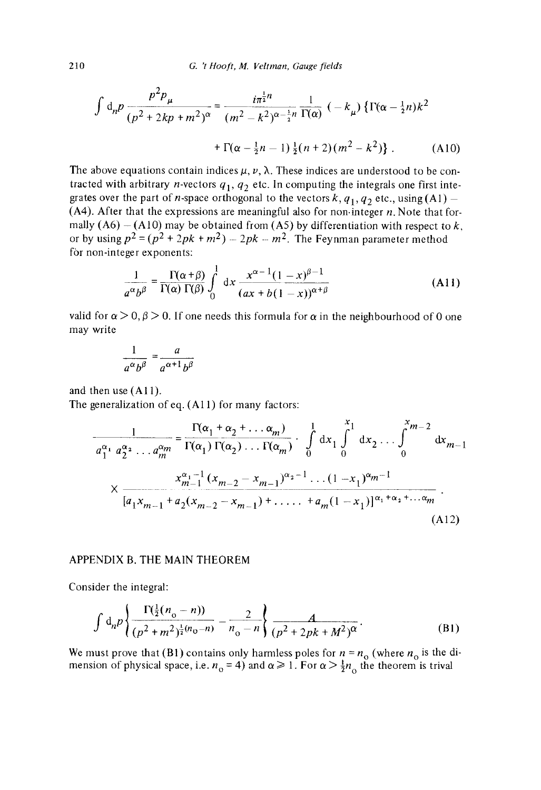$$
\int d_{n}p \frac{p^{2}p_{\mu}}{(p^{2}+2kp+m^{2})^{\alpha}} = \frac{i\pi^{\frac{1}{2}n}}{(m^{2}-k^{2})^{\alpha-\frac{1}{2}n}} \frac{1}{\Gamma(\alpha)} (-k_{\mu}) \left\{ \Gamma(\alpha-\frac{1}{2}n)k^{2} + \Gamma(\alpha-\frac{1}{2}n-1) \frac{1}{2}(n+2)(m^{2}-k^{2}) \right\}. \tag{A10}
$$

The above equations contain indices  $\mu$ ,  $\nu$ ,  $\lambda$ . These indices are understood to be contracted with arbitrary *n*-vectors  $q_1$ ,  $q_2$  etc. In computing the integrals one first integrates over the part of *n*-space orthogonal to the vectors  $k$ ,  $q_1$ ,  $q_2$  etc., using (A1) – (A4). After that the expressions are meaningful also for non-integer  $n$ . Note that formally (A6) - (A10) may be obtained from (A5) by differentiation with respect to  $k$ , or by using  $p^2 = (p^2 + 2pk + m^2) - 2pk - m^2$ . The Feynman parameter method for non-integer exponents:

$$
\frac{1}{a^{\alpha}b^{\beta}} = \frac{\Gamma(\alpha+\beta)}{\Gamma(\alpha)\,\Gamma(\beta)} \int_{0}^{1} dx \, \frac{x^{\alpha-1}(1-x)^{\beta-1}}{(ax+b(1-x))^{\alpha+\beta}}
$$
(A11)

valid for  $\alpha > 0, \beta > 0$ . If one needs this formula for  $\alpha$  in the neighbourhood of 0 one may write

$$
\frac{1}{a^{\alpha}b^{\beta}} = \frac{a}{a^{\alpha+1}b^{\beta}}
$$

and then use (AI **1).** 

The generalization of eq.  $(A11)$  for many factors:

$$
\frac{1}{a_1^{\alpha_1} a_2^{\alpha_2} \dots a_m^{\alpha_m}} = \frac{\Gamma(\alpha_1 + \alpha_2 + \dots + \alpha_m)}{\Gamma(\alpha_1) \Gamma(\alpha_2) \dots \Gamma(\alpha_m)} \cdot \int_0^1 dx_1 \int_0^{x_1} dx_2 \dots \int_0^{x_{m-2}} dx_{m-1}
$$
  
 
$$
\times \frac{x_{m-1}^{\alpha_1 - 1} (x_{m-2} - x_{m-1})^{\alpha_2 - 1} \dots (1 - x_1)^{\alpha_m - 1}}{[a_1 x_{m-1} + a_2 (x_{m-2} - x_{m-1}) + \dots + a_m (1 - x_1)]^{\alpha_1 + \alpha_2 + \dots + \alpha_m}}.
$$
(A12)

### APPENDIX B. THE MAIN THEOREM

Consider the integral:

$$
\int d_{n}p \left\{ \frac{\Gamma(\frac{1}{2}(n_{o}-n))}{(p^{2}+m^{2})^{\frac{1}{2}(n_{o}-n)}} - \frac{2}{n_{o}-n} \right\} \frac{A}{(p^{2}+2pk+M^{2})^{\alpha}}.
$$
 (B1)

We must prove that (B1) contains only harmless poles for  $n = n_0$  (where  $n_0$  is the dimension of physical space, i.e.  $n_0 = 4$ ) and  $\alpha \ge 1$ . For  $\alpha > \frac{1}{2}n_0$  the theorem is trival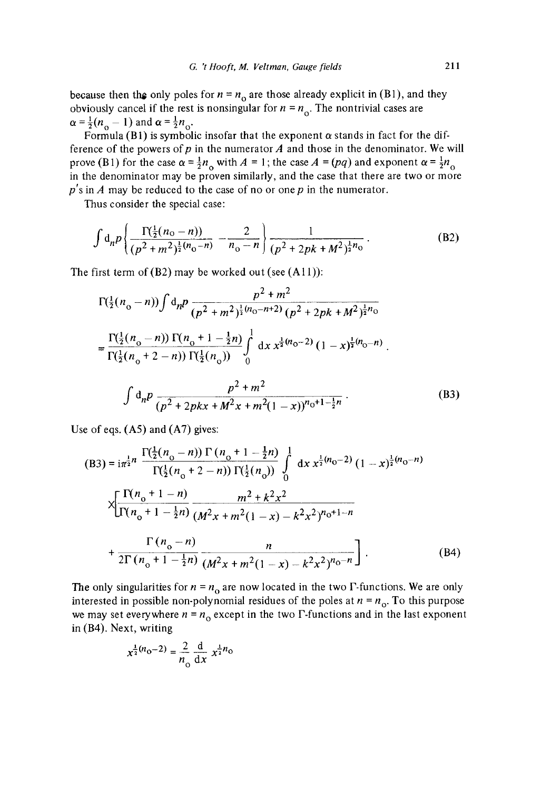because then the only poles for  $n = n_0$  are those already explicit in (B1), and they obviously cancel if the rest is nonsingular for  $n = n_0$ . The nontrivial cases are  $\alpha=\frac{1}{2}(n_{\alpha}-1)$  and  $\alpha=\frac{1}{2}n_{\alpha}$ .

Formula (B1) is symbolic insofar that the exponent  $\alpha$  stands in fact for the difference of the powers of  $p$  in the numerator  $A$  and those in the denominator. We will prove (B1) for the case  $\alpha = \frac{1}{2}n_0$  with  $A = 1$ ; the case  $A = (pq)$  and exponent  $\alpha = \frac{1}{2}n_0$ in the denominator may be proven similarly, and the case that there are two or more  $p'$ s in A may be reduced to the case of no or one p in the numerator.

Thus consider the special case:

$$
\int d_{n}p \left( \frac{\Gamma(\frac{1}{2}(n_{0}-n))}{(p^{2}+m^{2})^{\frac{1}{2}(n_{0}-n)}} - \frac{2}{n_{0}-n} \right) \frac{1}{(p^{2}+2pk+M^{2})^{\frac{1}{2}n_{0}}}.
$$
 (B2)

The first term of  $(B2)$  may be worked out (see  $(A11)$ ):

$$
\Gamma(\frac{1}{2}(n_{o}-n)) \int d_{n}p \frac{p^{2}+m^{2}}{(p^{2}+m^{2})^{\frac{1}{2}(n_{o}-n+2)} (p^{2}+2pk+M^{2})^{\frac{1}{2}n_{o}}}
$$
\n
$$
= \frac{\Gamma(\frac{1}{2}(n_{o}-n)) \Gamma(n_{o}+1-\frac{1}{2}n)}{\Gamma(\frac{1}{2}(n_{o}+2-n)) \Gamma(\frac{1}{2}(n_{o}))} \int_{0}^{1} dx x^{\frac{1}{2}(n_{o}-2)} (1-x)^{\frac{1}{2}(n_{o}-n)}.
$$
\n
$$
\int d_{n}p \frac{p^{2}+m^{2}}{(1-x)^{2}+m^{2}}.
$$
\n(B3)

 $\int d_n p \frac{p}{(p^2 + 2pkx + M^2x + m^2(1 - x))^{n_0 + 1 - \frac{1}{2}n}}$ 

Use of eqs.  $(A5)$  and  $(A7)$  gives:

$$
(B3) = i\pi^{\frac{1}{2}n} \frac{\Gamma(\frac{1}{2}(n_0 - n)) \Gamma(n_0 + 1 - \frac{1}{2}n)}{\Gamma(\frac{1}{2}(n_0 + 2 - n)) \Gamma(\frac{1}{2}(n_0))} \int_0^1 dx \, x^{\frac{1}{2}(n_0 - 2)} (1 - x)^{\frac{1}{2}(n_0 - n)}
$$

$$
\times \frac{\Gamma(n_0 + 1 - n)}{\Gamma(n_0 + 1 - \frac{1}{2}n)} \frac{m^2 + k^2 x^2}{(M^2 x + m^2 (1 - x) - k^2 x^2)^{n_0 + 1 - n}}
$$

$$
+ \frac{\Gamma(n_0 - n)}{2\Gamma(n_0 + 1 - \frac{1}{2}n)} \frac{n}{(M^2 x + m^2 (1 - x) - k^2 x^2)^{n_0 - n}} \, . \tag{B4}
$$

The only singularities for  $n = n_0$  are now located in the two  $\Gamma$ -functions. We are only interested in possible non-polynomial residues of the poles at  $n = n_0$ . To this purpose we may set everywhere  $n = n_0$  except in the two  $\Gamma$ -functions and in the last exponent in (B4). Next, writing

$$
x^{\frac{1}{2}(n_0-2)} = \frac{2}{n_0} \frac{d}{dx} x^{\frac{1}{2}n_0}
$$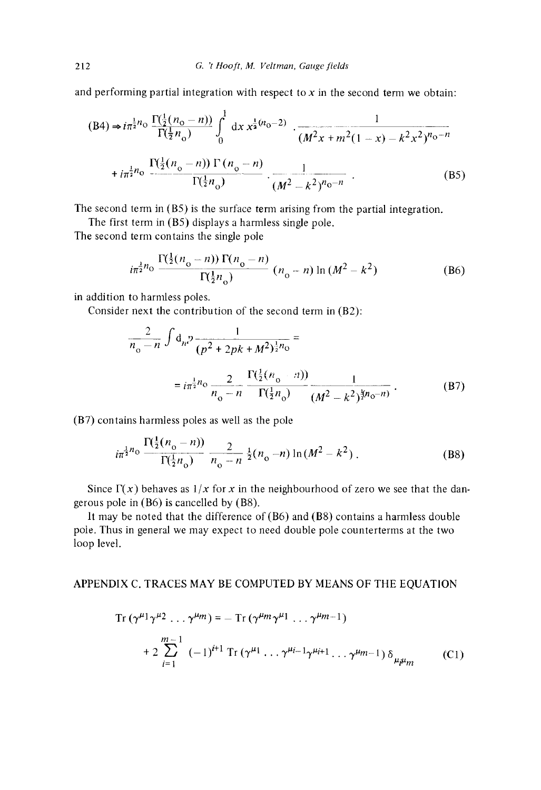and performing partial integration with respect to  $x$  in the second term we obtain:

$$
(B4) \Rightarrow i\pi^{\frac{1}{2}n_0} \frac{\Gamma(\frac{1}{2}(n_0 - n))}{\Gamma(\frac{1}{2}n_0)} \int_0^1 dx \, x^{\frac{1}{2}(n_0 - 2)} \cdot \frac{1}{(M^2 x + m^2 (1 - x) - k^2 x^2)^{n_0 - n}}
$$
  
+  $i\pi^{\frac{1}{2}n_0} \frac{\Gamma(\frac{1}{2}(n_0 - n)) \Gamma(n_0 - n)}{\Gamma(\frac{1}{2}n_0)} \cdot \frac{1}{(M^2 - k^2)^{n_0 - n}}$  (B5)

The second term in (B5) is the surface term arising from the partial integration.

The first term in (B5) displays a harmless single pole.

The second term contains the single pole

$$
i\pi^{\frac{1}{2}n_0} \frac{\Gamma(\frac{1}{2}(n_0 - n)) \Gamma(n_0 - n)}{\Gamma(\frac{1}{2}n_0)} (n_0 - n) \ln(M^2 - k^2)
$$
 (B6)

in addition to harmless poles.

Consider next the contribution of the second term in (B2):

$$
\frac{2}{n_o - n} \int d_{n}p \frac{1}{(p^2 + 2pk + M^2)^{\frac{1}{2}n_0}} =
$$
  
=  $i\pi^{\frac{1}{2}n_0} \frac{2}{n_o - n} \frac{\Gamma(\frac{1}{2}(n_o - n))}{\Gamma(\frac{1}{2}n_o)} \frac{1}{(M^2 - k^2)^{\frac{1}{2}(n_o - n)}}.$  (B7)

(B7) contains harmless poles as well as the pole

$$
i\pi^{\frac{1}{2}n_0} \frac{\Gamma(\frac{1}{2}(n_0 - n))}{\Gamma(\frac{1}{2}n_0)} \frac{2}{n_0 - n} \frac{1}{2}(n_0 - n) \ln(M^2 - k^2) \,. \tag{B8}
$$

Since  $\Gamma(x)$  behaves as  $1/x$  for x in the neighbourhood of zero we see that the dangerous pole in (B6) is cancelled by (B8).

It may be noted that the difference of (B6) and (B8) contains a harmless double poie. Thus in general we may expect to need double pole counterterms at the two loop level.

#### APPENDIX C. TRACES MAY BE COMPUTED BY MEANS OF THE EQUATION

Tr 
$$
(\gamma^{\mu_1}\gamma^{\mu_2} \dots \gamma^{\mu_m}) = - \operatorname{Tr} (\gamma^{\mu_m}\gamma^{\mu_1} \dots \gamma^{\mu_{m-1}})
$$
  
+  $2 \sum_{i=1}^{m-1} (-1)^{i+1} \operatorname{Tr} (\gamma^{\mu_1} \dots \gamma^{\mu_{i-1}}\gamma^{\mu_{i+1}} \dots \gamma^{\mu_{m-1}}) \delta_{\mu_{i}\mu_{m}}$  (C1)